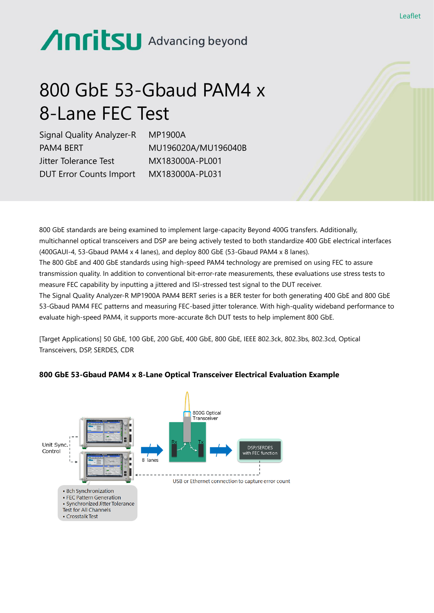# Anritsu Advancing beyond

# 800 GbE 53-Gbaud PAM4 x 8-Lane FEC Test

Signal Quality Analyzer-R PAM4 BERT Jitter Tolerance Test DUT Error Counts Import

MP1900A MU196020A/MU196040B MX183000A-PL001 MX183000A-PL031

800 GbE standards are being examined to implement large-capacity Beyond 400G transfers. Additionally, multichannel optical transceivers and DSP are being actively tested to both standardize 400 GbE electrical interfaces (400GAUI-4, 53-Gbaud PAM4 x 4 lanes), and deploy 800 GbE (53-Gbaud PAM4 x 8 lanes). The 800 GbE and 400 GbE standards using high-speed PAM4 technology are premised on using FEC to assure transmission quality. In addition to conventional bit-error-rate measurements, these evaluations use stress tests to measure FEC capability by inputting a jittered and ISI-stressed test signal to the DUT receiver. The Signal Quality Analyzer-R MP1900A PAM4 BERT series is a BER tester for both generating 400 GbE and 800 GbE 53-Gbaud PAM4 FEC patterns and measuring FEC-based jitter tolerance. With high-quality wideband performance to evaluate high-speed PAM4, it supports more-accurate 8ch DUT tests to help implement 800 GbE.

[Target Applications] 50 GbE, 100 GbE, 200 GbE, 400 GbE, 800 GbE, IEEE 802.3ck, 802.3bs, 802.3cd, Optical Transceivers, DSP, SERDES, CDR



## **800 GbE 53-Gbaud PAM4 x 8-Lane Optical Transceiver Electrical Evaluation Example**